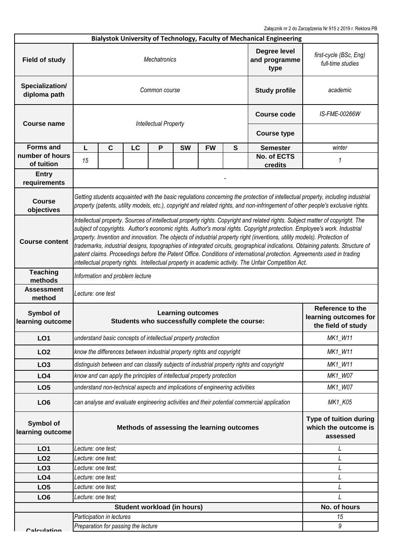Załącznik nr 2 do Zarządzenia Nr 915 z 2019 r. Rektora PB

|                                 |                                                                                                                                                                                                                                                                                                                                                                                                                                                                                                                                                                                                                                                                                                                                                               |                                     |    |                              |                                                                             |               |              | Bialystok University of Technology, Faculty of Mechanical Engineering                      |                                                                   |  |
|---------------------------------|---------------------------------------------------------------------------------------------------------------------------------------------------------------------------------------------------------------------------------------------------------------------------------------------------------------------------------------------------------------------------------------------------------------------------------------------------------------------------------------------------------------------------------------------------------------------------------------------------------------------------------------------------------------------------------------------------------------------------------------------------------------|-------------------------------------|----|------------------------------|-----------------------------------------------------------------------------|---------------|--------------|--------------------------------------------------------------------------------------------|-------------------------------------------------------------------|--|
| <b>Field of study</b>           | Degree level<br><b>Mechatronics</b><br>and programme<br>type                                                                                                                                                                                                                                                                                                                                                                                                                                                                                                                                                                                                                                                                                                  |                                     |    |                              |                                                                             |               |              |                                                                                            | first-cycle (BSc, Eng)<br>full-time studies                       |  |
| Specialization/<br>diploma path | Common course<br><b>Study profile</b>                                                                                                                                                                                                                                                                                                                                                                                                                                                                                                                                                                                                                                                                                                                         |                                     |    |                              |                                                                             |               |              | academic                                                                                   |                                                                   |  |
| <b>Course name</b>              |                                                                                                                                                                                                                                                                                                                                                                                                                                                                                                                                                                                                                                                                                                                                                               |                                     |    | <b>Intellectual Property</b> | <b>Course code</b>                                                          | IS-FME-00266W |              |                                                                                            |                                                                   |  |
|                                 |                                                                                                                                                                                                                                                                                                                                                                                                                                                                                                                                                                                                                                                                                                                                                               |                                     |    |                              |                                                                             |               |              | <b>Course type</b>                                                                         |                                                                   |  |
| <b>Forms and</b>                | L                                                                                                                                                                                                                                                                                                                                                                                                                                                                                                                                                                                                                                                                                                                                                             | $\mathbf{C}$                        | LC | P                            | <b>SW</b>                                                                   | <b>FW</b>     | $\mathbf{s}$ | <b>Semester</b>                                                                            | winter                                                            |  |
| number of hours<br>of tuition   | 15                                                                                                                                                                                                                                                                                                                                                                                                                                                                                                                                                                                                                                                                                                                                                            |                                     |    |                              |                                                                             |               |              | No. of ECTS<br>credits                                                                     | 1                                                                 |  |
| <b>Entry</b><br>requirements    |                                                                                                                                                                                                                                                                                                                                                                                                                                                                                                                                                                                                                                                                                                                                                               |                                     |    |                              |                                                                             |               |              |                                                                                            |                                                                   |  |
| <b>Course</b><br>objectives     | Getting students acquainted with the basic regulations concerning the protection of intellectual property, including industrial<br>property (patents, utility models, etc.), copyright and related rights, and non-infringement of other people's exclusive rights.                                                                                                                                                                                                                                                                                                                                                                                                                                                                                           |                                     |    |                              |                                                                             |               |              |                                                                                            |                                                                   |  |
| <b>Course content</b>           | Intellectual property. Sources of intellectual property rights. Copyright and related rights. Subject matter of copyright. The<br>subject of copyrights. Author's economic rights. Author's moral rights. Copyright protection. Employee's work. Industrial<br>property. Invention and innovation. The objects of industrial property right (inventions, utility models). Protection of<br>trademarks, industrial designs, topographies of integrated circuits, geographical indications. Obtaining patents. Structure of<br>patent claims. Proceedings before the Patent Office. Conditions of international protection. Agreements used in trading<br>intellectual property rights. Intellectual property in academic activity. The Unfair Competition Act. |                                     |    |                              |                                                                             |               |              |                                                                                            |                                                                   |  |
| <b>Teaching</b><br>methods      |                                                                                                                                                                                                                                                                                                                                                                                                                                                                                                                                                                                                                                                                                                                                                               | Information and problem lecture     |    |                              |                                                                             |               |              |                                                                                            |                                                                   |  |
| <b>Assessment</b>               | Lecture: one test                                                                                                                                                                                                                                                                                                                                                                                                                                                                                                                                                                                                                                                                                                                                             |                                     |    |                              |                                                                             |               |              |                                                                                            |                                                                   |  |
| method                          |                                                                                                                                                                                                                                                                                                                                                                                                                                                                                                                                                                                                                                                                                                                                                               |                                     |    |                              |                                                                             |               |              |                                                                                            |                                                                   |  |
| Symbol of<br>learning outcome   |                                                                                                                                                                                                                                                                                                                                                                                                                                                                                                                                                                                                                                                                                                                                                               |                                     |    |                              | <b>Learning outcomes</b><br>Students who successfully complete the course:  |               |              |                                                                                            | Reference to the<br>learning outcomes for<br>the field of study   |  |
| LO1                             |                                                                                                                                                                                                                                                                                                                                                                                                                                                                                                                                                                                                                                                                                                                                                               |                                     |    |                              | understand basic concepts of intellectual property protection               |               |              |                                                                                            | MK1_W11                                                           |  |
| LO <sub>2</sub>                 |                                                                                                                                                                                                                                                                                                                                                                                                                                                                                                                                                                                                                                                                                                                                                               |                                     |    |                              | know the differences between industrial property rights and copyright       |               |              |                                                                                            | MK1_W11                                                           |  |
| LO <sub>3</sub>                 |                                                                                                                                                                                                                                                                                                                                                                                                                                                                                                                                                                                                                                                                                                                                                               |                                     |    |                              |                                                                             |               |              | distinguish between and can classify subjects of industrial property rights and copyright  | MK1_W11                                                           |  |
| LO <sub>4</sub>                 |                                                                                                                                                                                                                                                                                                                                                                                                                                                                                                                                                                                                                                                                                                                                                               |                                     |    |                              | know and can apply the principles of intellectual property protection       |               |              |                                                                                            | MK1_W07                                                           |  |
| LO <sub>5</sub>                 |                                                                                                                                                                                                                                                                                                                                                                                                                                                                                                                                                                                                                                                                                                                                                               |                                     |    |                              | understand non-technical aspects and implications of engineering activities |               |              |                                                                                            | MK1_W07                                                           |  |
| LO <sub>6</sub>                 |                                                                                                                                                                                                                                                                                                                                                                                                                                                                                                                                                                                                                                                                                                                                                               |                                     |    |                              |                                                                             |               |              | can analyse and evaluate engineering activities and their potential commercial application | MK1_K05                                                           |  |
| Symbol of<br>learning outcome   |                                                                                                                                                                                                                                                                                                                                                                                                                                                                                                                                                                                                                                                                                                                                                               |                                     |    |                              | Methods of assessing the learning outcomes                                  |               |              |                                                                                            | <b>Type of tuition during</b><br>which the outcome is<br>assessed |  |
| LO1                             | Lecture: one test;                                                                                                                                                                                                                                                                                                                                                                                                                                                                                                                                                                                                                                                                                                                                            |                                     |    |                              |                                                                             |               |              |                                                                                            | L                                                                 |  |
| LO <sub>2</sub>                 | Lecture: one test;                                                                                                                                                                                                                                                                                                                                                                                                                                                                                                                                                                                                                                                                                                                                            |                                     |    |                              |                                                                             |               |              |                                                                                            | L                                                                 |  |
| LO <sub>3</sub>                 | Lecture: one test;                                                                                                                                                                                                                                                                                                                                                                                                                                                                                                                                                                                                                                                                                                                                            |                                     |    |                              |                                                                             |               |              |                                                                                            | L                                                                 |  |
| LO <sub>4</sub>                 | Lecture: one test;                                                                                                                                                                                                                                                                                                                                                                                                                                                                                                                                                                                                                                                                                                                                            |                                     |    |                              |                                                                             |               |              |                                                                                            | L                                                                 |  |
| LO <sub>5</sub>                 | Lecture: one test;                                                                                                                                                                                                                                                                                                                                                                                                                                                                                                                                                                                                                                                                                                                                            |                                     |    |                              |                                                                             |               |              |                                                                                            | L                                                                 |  |
| LO <sub>6</sub>                 | Lecture: one test;                                                                                                                                                                                                                                                                                                                                                                                                                                                                                                                                                                                                                                                                                                                                            |                                     |    |                              |                                                                             |               |              |                                                                                            |                                                                   |  |
|                                 |                                                                                                                                                                                                                                                                                                                                                                                                                                                                                                                                                                                                                                                                                                                                                               |                                     |    |                              | Student workload (in hours)                                                 |               |              |                                                                                            | No. of hours                                                      |  |
|                                 |                                                                                                                                                                                                                                                                                                                                                                                                                                                                                                                                                                                                                                                                                                                                                               | Participation in lectures           |    |                              |                                                                             |               |              |                                                                                            | 15                                                                |  |
| Calculation                     |                                                                                                                                                                                                                                                                                                                                                                                                                                                                                                                                                                                                                                                                                                                                                               | Preparation for passing the lecture |    |                              |                                                                             |               |              |                                                                                            | 9                                                                 |  |